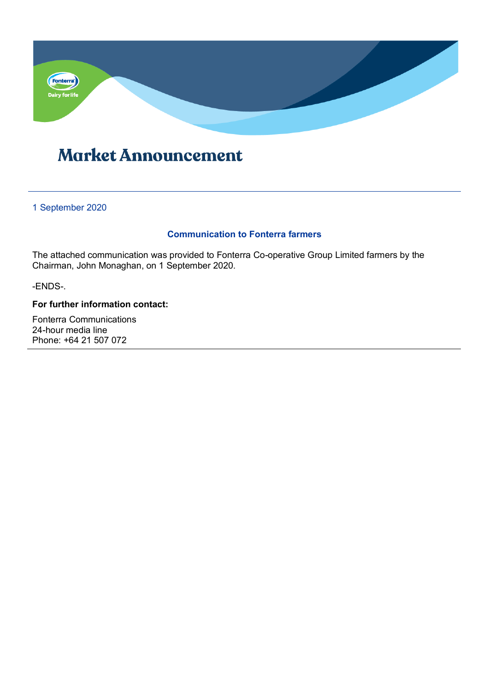

# **Market Announcement**

## 1 September 2020

## **Communication to Fonterra farmers**

The attached communication was provided to Fonterra Co-operative Group Limited farmers by the Chairman, John Monaghan, on 1 September 2020.

-ENDS-.

## **For further information contact:**

Fonterra Communications 24-hour media line Phone: +64 21 507 072